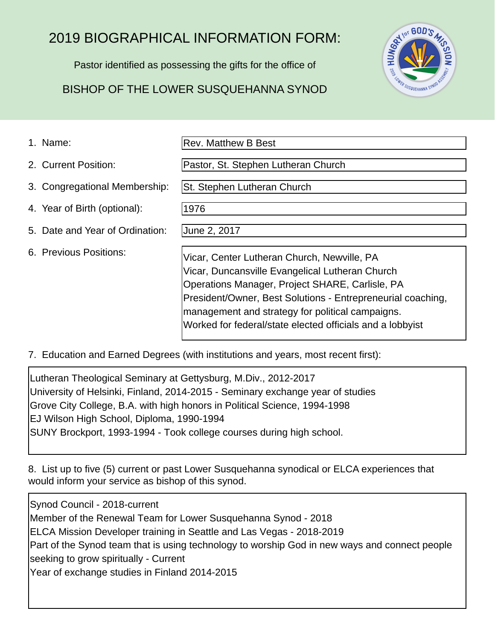## 2019 BIOGRAPHICAL INFORMATION FORM:

Pastor identified as possessing the gifts for the office of

## BISHOP OF THE LOWER SUSQUEHANNA SYNOD



1. Name:

Rev. Matthew B Best

Pastor, St. Stephen Lutheran Church

St. Stephen Lutheran Church

4. Year of Birth (optional):

5. Date and Year of Ordination:

3. Congregational Membership:

6. Previous Positions:

2. Current Position:

June 2, 2017

1976

Vicar, Center Lutheran Church, Newville, PA Vicar, Duncansville Evangelical Lutheran Church Operations Manager, Project SHARE, Carlisle, PA President/Owner, Best Solutions - Entrepreneurial coaching, management and strategy for political campaigns. Worked for federal/state elected officials and a lobbyist

7. Education and Earned Degrees (with institutions and years, most recent first):

Lutheran Theological Seminary at Gettysburg, M.Div., 2012-2017 University of Helsinki, Finland, 2014-2015 - Seminary exchange year of studies Grove City College, B.A. with high honors in Political Science, 1994-1998 EJ Wilson High School, Diploma, 1990-1994 SUNY Brockport, 1993-1994 - Took college courses during high school.

8. List up to five (5) current or past Lower Susquehanna synodical or ELCA experiences that would inform your service as bishop of this synod.

Synod Council - 2018-current Member of the Renewal Team for Lower Susquehanna Synod - 2018 ELCA Mission Developer training in Seattle and Las Vegas - 2018-2019 Part of the Synod team that is using technology to worship God in new ways and connect people seeking to grow spiritually - Current Year of exchange studies in Finland 2014-2015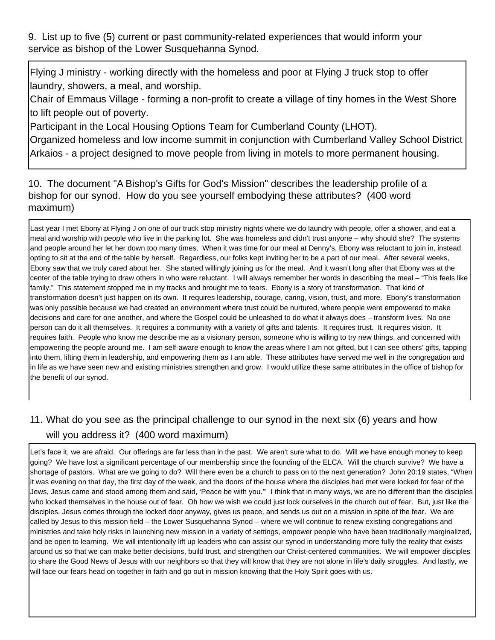9. List up to five (5) current or past community-related experiences that would inform your service as bishop of the Lower Susquehanna Synod.

Flying J ministry - working directly with the homeless and poor at Flying J truck stop to offer laundry, showers, a meal, and worship.

Chair of Emmaus Village - forming a non-profit to create a village of tiny homes in the West Shore to lift people out of poverty.

Participant in the Local Housing Options Team for Cumberland County (LHOT).

Organized homeless and low income summit in conjunction with Cumberland Valley School District Arkaios - a project designed to move people from living in motels to more permanent housing.

10. The document "A Bishop's Gifts for God's Mission" describes the leadership profile of a bishop for our synod. How do you see yourself embodying these attributes? (400 word maximum)

Last year I met Ebony at Flying J on one of our truck stop ministry nights where we do laundry with people, offer a shower, and eat a meal and worship with people who live in the parking lot. She was homeless and didn't trust anyone – why should she? The systems and people around her let her down too many times. When it was time for our meal at Denny's, Ebony was reluctant to join in, instead opting to sit at the end of the table by herself. Regardless, our folks kept inviting her to be a part of our meal. After several weeks, Ebony saw that we truly cared about her. She started willingly joining us for the meal. And it wasn't long after that Ebony was at the center of the table trying to draw others in who were reluctant. I will always remember her words in describing the meal – "This feels like family." This statement stopped me in my tracks and brought me to tears. Ebony is a story of transformation. That kind of transformation doesn't just happen on its own. It requires leadership, courage, caring, vision, trust, and more. Ebony's transformation was only possible because we had created an environment where trust could be nurtured, where people were empowered to make decisions and care for one another, and where the Gospel could be unleashed to do what it always does – transform lives. No one person can do it all themselves. It requires a community with a variety of gifts and talents. It requires trust. It requires vision. It requires faith. People who know me describe me as a visionary person, someone who is willing to try new things, and concerned with empowering the people around me. I am self-aware enough to know the areas where I am not gifted, but I can see others' gifts, tapping into them, lifting them in leadership, and empowering them as I am able. These attributes have served me well in the congregation and in life as we have seen new and existing ministries strengthen and grow. I would utilize these same attributes in the office of bishop for the benefit of our synod.

## 11. What do you see as the principal challenge to our synod in the next six (6) years and how will you address it? (400 word maximum)

Let's face it, we are afraid. Our offerings are far less than in the past. We aren't sure what to do. Will we have enough money to keep going? We have lost a significant percentage of our membership since the founding of the ELCA. Will the church survive? We have a shortage of pastors. What are we going to do? Will there even be a church to pass on to the next generation? John 20:19 states, "When it was evening on that day, the first day of the week, and the doors of the house where the disciples had met were locked for fear of the Jews, Jesus came and stood among them and said, 'Peace be with you.'" I think that in many ways, we are no different than the disciples who locked themselves in the house out of fear. Oh how we wish we could just lock ourselves in the church out of fear. But, just like the disciples, Jesus comes through the locked door anyway, gives us peace, and sends us out on a mission in spite of the fear. We are called by Jesus to this mission field – the Lower Susquehanna Synod – where we will continue to renew existing congregations and ministries and take holy risks in launching new mission in a variety of settings, empower people who have been traditionally marginalized, and be open to learning. We will intentionally lift up leaders who can assist our synod in understanding more fully the reality that exists around us so that we can make better decisions, build trust, and strengthen our Christ-centered communities. We will empower disciples to share the Good News of Jesus with our neighbors so that they will know that they are not alone in life's daily struggles. And lastly, we will face our fears head on together in faith and go out in mission knowing that the Holy Spirit goes with us.